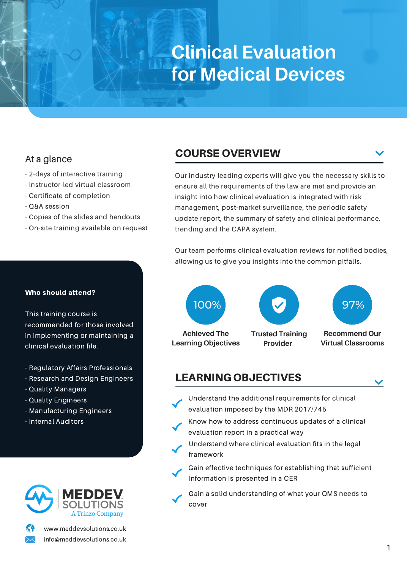# **Clinical Evaluation for Medical Devices**

## At a glance

- 2-days of interactive training
- Instructor-led virtual classroom
- Certificate of completion
- Q&A session
- Copies of the slides and handouts
- On-site training available on request

### Who should attend?

This training course is recommended for those involved in implementing or maintaining a clinical evaluation file.

- Regulatory Affairs Professionals
- Research and Design Engineers
- Quality Managers
- Quality Engineers
- Manufacturing Engineers
- Internal Auditors



www.meddevsolutions.co.uk info@meddevsolutions.co.uk

# COURSE OVERVIEW

Our industry leading experts will give you the necessary skills to ensure all the requirements of the law are met and provide an insight into how clinical evaluation is integrated with risk management, post-market surveillance, the periodic safety update report, the summary of safety and clinical performance, trending and the CAPA system.

Our team performs clinical evaluation reviews for notified bodies, allowing us to give you insights into the common pitfalls.



# LEARNING OBJECTIVES

- Understand the additional requirements for clinical evaluation imposed by the MDR 2017/745
- Know how to address continuous updates of a clinical evaluation report in a practical way
- Understand where clinical evaluation fits in the legal framework
- Gain effective techniques for establishing that sufficient Information is presented in a CER
	- Gain a solid understanding of what your QMS needs to cover